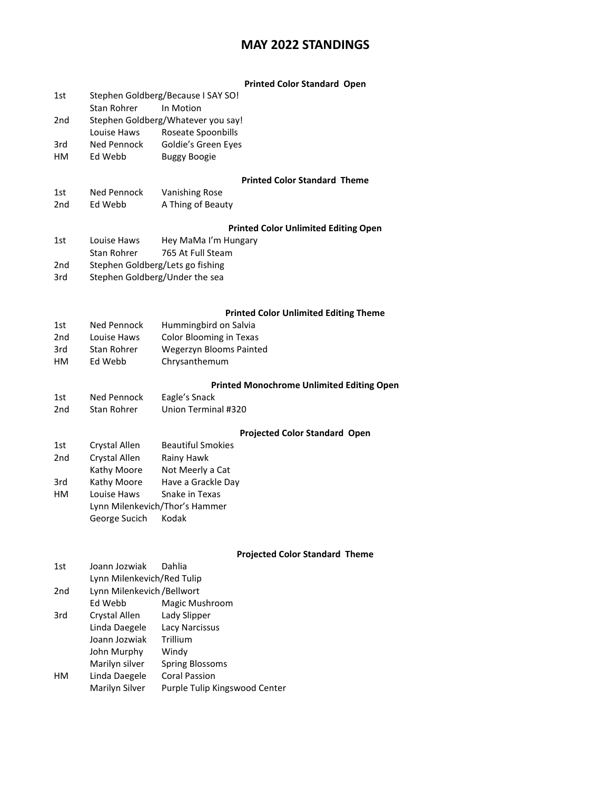## **MAY 2022 STANDINGS**

#### **Printed Color Standard Open**

- 1st Stephen Goldberg/Because I SAY SO! Stan Rohrer In Motion 2nd Stephen Goldberg/Whatever you say! Louise Haws Roseate Spoonbills
- 3rd Ned Pennock Goldie's Green Eyes
- HM Ed Webb Buggy Boogie

#### **Printed Color Standard Theme**

1st Ned Pennock Vanishing Rose 2nd Ed Webb A Thing of Beauty

#### **Printed Color Unlimited Editing Open**

- 1st Louise Haws Hey MaMa I'm Hungary
- Stan Rohrer 765 At Full Steam
- 2nd Stephen Goldberg/Lets go fishing
- 3rd Stephen Goldberg/Under the sea

#### **Printed Color Unlimited Editing Theme**

| 1st | Ned Pennock | Hummingbird on Salvia          |
|-----|-------------|--------------------------------|
| 2nd | Louise Haws | <b>Color Blooming in Texas</b> |
| 3rd | Stan Rohrer | Wegerzyn Blooms Painted        |
| HМ  | Ed Webb     | Chrysanthemum                  |

#### **Printed Monochrome Unlimited Editing Open**

1st Ned Pennock Eagle's Snack 2nd Stan Rohrer Union Terminal #320

#### **Projected Color Standard Open**

| 1st | Crystal Allen                  | <b>Beautiful Smokies</b> |
|-----|--------------------------------|--------------------------|
| 2nd | Crystal Allen                  | Rainy Hawk               |
|     | Kathy Moore                    | Not Meerly a Cat         |
| 3rd | Kathy Moore                    | Have a Grackle Day       |
| HM  | Louise Haws                    | Snake in Texas           |
|     | Lynn Milenkevich/Thor's Hammer |                          |
|     | George Sucich                  | Kodak                    |

#### **Projected Color Standard Theme**

| 1st             | Joann Jozwiak               | Dahlia                        |  |
|-----------------|-----------------------------|-------------------------------|--|
|                 | Lynn Milenkevich/Red Tulip  |                               |  |
| 2 <sub>nd</sub> | Lynn Milenkevich / Bellwort |                               |  |
|                 | Ed Webb                     | Magic Mushroom                |  |
| 3rd             | Crystal Allen               | Lady Slipper                  |  |
|                 | Linda Daegele               | Lacy Narcissus                |  |
|                 | Joann Jozwiak               | Trillium                      |  |
|                 | John Murphy                 | Windy                         |  |
|                 | Marilyn silver              | Spring Blossoms               |  |
| HМ              | Linda Daegele               | <b>Coral Passion</b>          |  |
|                 | Marilyn Silver              | Purple Tulip Kingswood Center |  |